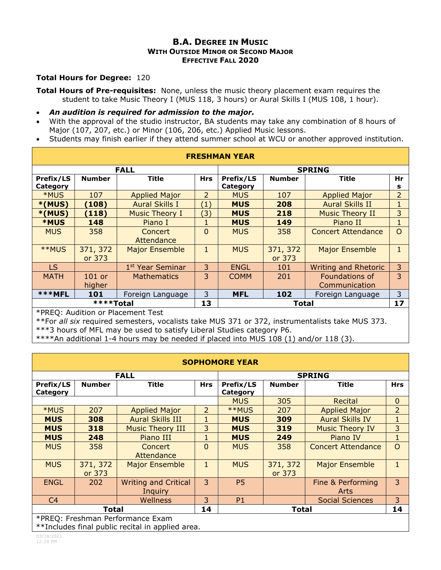## **B.A. DEGREE IN MUSIC WITH OUTSIDE MINOR OR SECOND MAJOR EFFECTIVE FALL 2020**

## **Total Hours for Degree:** 120

**Total Hours of Pre-requisites:** None, unless the music theory placement exam requires the student to take Music Theory I (MUS 118, 3 hours) or Aural Skills I (MUS 108, 1 hour).

- *An audition is required for admission to the major.*
- With the approval of the studio instructor, BA students may take any combination of 8 hours of Major (107, 207, etc.) or Minor (106, 206, etc.) Applied Music lessons.
- Students may finish earlier if they attend summer school at WCU or another approved institution.

| <b>FRESHMAN YEAR</b> |                    |                              |              |               |                    |                                 |                |  |
|----------------------|--------------------|------------------------------|--------------|---------------|--------------------|---------------------------------|----------------|--|
| <b>FALL</b>          |                    |                              |              | <b>SPRING</b> |                    |                                 |                |  |
| Prefix/LS            | <b>Number</b>      | Title                        | <b>Hrs</b>   | Prefix/LS     | <b>Number</b>      | <b>Title</b>                    | Hr             |  |
| Category             |                    |                              |              | Category      |                    |                                 | s              |  |
| *MUS                 | 107                | <b>Applied Major</b>         | 2            | <b>MUS</b>    | 107                | <b>Applied Major</b>            | $\overline{2}$ |  |
| $*(MUS)$             | (108)              | <b>Aural Skills I</b>        | (1)          | <b>MUS</b>    | 208                | <b>Aural Skills II</b>          | $\mathbf{1}$   |  |
| $*(MUS)$             | (118)              | <b>Music Theory I</b>        | (3)          | <b>MUS</b>    | 218                | <b>Music Theory II</b>          | 3              |  |
| <b>*MUS</b>          | 148                | Piano I                      | 1            | <b>MUS</b>    | 149                | Piano II                        | $\mathbf{1}$   |  |
| <b>MUS</b>           | 358                | Concert<br>Attendance        | $\Omega$     | <b>MUS</b>    | 358                | <b>Concert Attendance</b>       | $\circ$        |  |
| **MUS                | 371, 372<br>or 373 | <b>Major Ensemble</b>        | $\mathbf{1}$ | <b>MUS</b>    | 371, 372<br>or 373 | <b>Major Ensemble</b>           | $\mathbf{1}$   |  |
| <b>LS</b>            |                    | 1 <sup>st</sup> Year Seminar | 3            | <b>ENGL</b>   | 101                | <b>Writing and Rhetoric</b>     | 3              |  |
| <b>MATH</b>          | $101$ or<br>higher | <b>Mathematics</b>           | 3            | <b>COMM</b>   | 201                | Foundations of<br>Communication | 3              |  |
| ***MFL               | 101                | Foreign Language             | 3            | <b>MFL</b>    | 102                | Foreign Language                | 3              |  |
| ****Total            |                    |                              | 13           | <b>Total</b>  |                    |                                 | 17             |  |

\*PREQ: Audition or Placement Test

\*\*For *all six* required semesters, vocalists take MUS 371 or 372, instrumentalists take MUS 373.

\*\*\*3 hours of MFL may be used to satisfy Liberal Studies category P6.

\*\*\*\*An additional 1-4 hours may be needed if placed into MUS 108 (1) and/or 118 (3).

| <b>SOPHOMORE YEAR</b>                            |                    |                                        |                |                       |                    |                           |                |  |  |
|--------------------------------------------------|--------------------|----------------------------------------|----------------|-----------------------|--------------------|---------------------------|----------------|--|--|
| <b>FALL</b>                                      |                    |                                        |                | <b>SPRING</b>         |                    |                           |                |  |  |
| Prefix/LS<br>Category                            | <b>Number</b>      | <b>Title</b>                           | <b>Hrs</b>     | Prefix/LS<br>Category | <b>Number</b>      | <b>Title</b>              | <b>Hrs</b>     |  |  |
|                                                  |                    |                                        | <b>MUS</b>     | 305                   | Recital            | $\mathbf 0$               |                |  |  |
| <b>*MUS</b>                                      | 207                | <b>Applied Major</b>                   | $\overline{2}$ | **MUS                 | 207                | <b>Applied Major</b>      | $\overline{2}$ |  |  |
| <b>MUS</b>                                       | 308                | <b>Aural Skills III</b>                |                | <b>MUS</b>            | 309                | <b>Aural Skills IV</b>    |                |  |  |
| <b>MUS</b>                                       | 318                | <b>Music Theory III</b>                | 3              | <b>MUS</b>            | 319                | <b>Music Theory IV</b>    | 3              |  |  |
| <b>MUS</b>                                       | 248                | Piano III                              | 1              | <b>MUS</b>            | 249                | Piano IV                  | $\mathbf{1}$   |  |  |
| <b>MUS</b>                                       | 358                | Concert<br>Attendance                  | $\mathbf{0}$   | <b>MUS</b>            | 358                | <b>Concert Attendance</b> | $\overline{O}$ |  |  |
| <b>MUS</b>                                       | 371, 372<br>or 373 | <b>Major Ensemble</b>                  | $\mathbf{1}$   | <b>MUS</b>            | 371, 372<br>or 373 | <b>Major Ensemble</b>     | $\mathbf{1}$   |  |  |
| <b>ENGL</b>                                      | 202                | <b>Writing and Critical</b><br>Inquiry | 3              | <b>P5</b>             |                    | Fine & Performing<br>Arts | $\overline{3}$ |  |  |
| C4                                               |                    | <b>Wellness</b>                        | 3              | P1                    |                    | <b>Social Sciences</b>    | 3              |  |  |
| Total                                            |                    |                                        | 14             |                       | <b>Total</b>       |                           | 14             |  |  |
| *PREQ: Freshman Performance Exam                 |                    |                                        |                |                       |                    |                           |                |  |  |
| **Includes final public recital in applied area. |                    |                                        |                |                       |                    |                           |                |  |  |